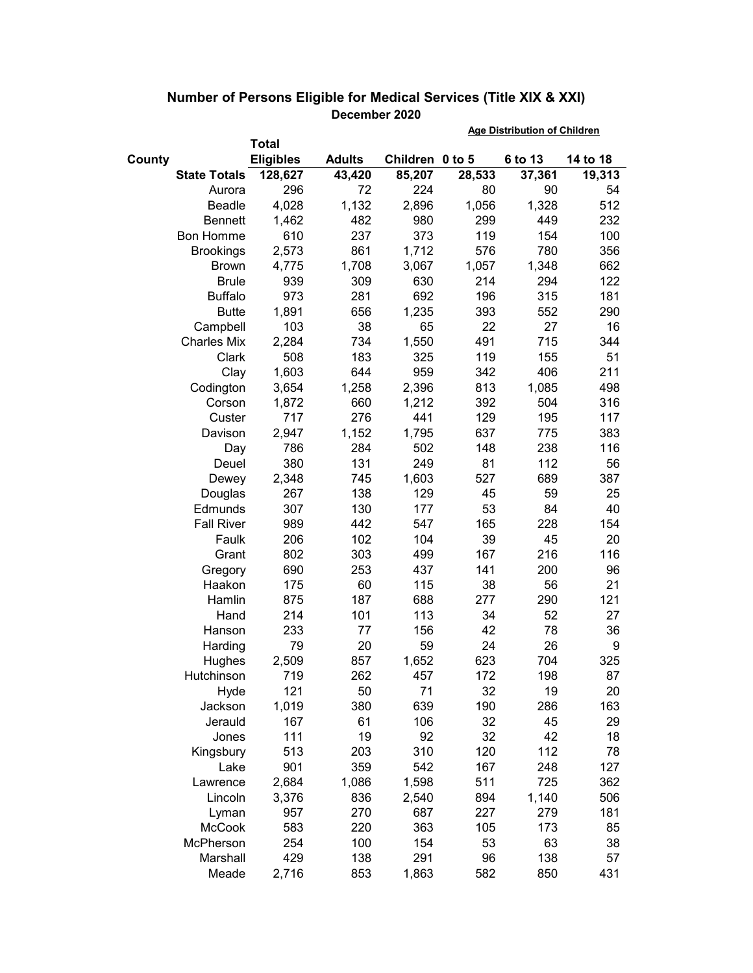|                     |                  |               | <b>Age Distribution of Children</b> |        |         |          |
|---------------------|------------------|---------------|-------------------------------------|--------|---------|----------|
|                     | Total            |               |                                     |        |         |          |
| County              | <b>Eligibles</b> | <b>Adults</b> | Children 0 to 5                     |        | 6 to 13 | 14 to 18 |
| <b>State Totals</b> | 128,627          | 43,420        | 85,207                              | 28,533 | 37,361  | 19,313   |
| Aurora              | 296              | 72            | 224                                 | 80     | 90      | 54       |
| Beadle              | 4,028            | 1,132         | 2,896                               | 1,056  | 1,328   | 512      |
| <b>Bennett</b>      | 1,462            | 482           | 980                                 | 299    | 449     | 232      |
| <b>Bon Homme</b>    | 610              | 237           | 373                                 | 119    | 154     | 100      |
| <b>Brookings</b>    | 2,573            | 861           | 1,712                               | 576    | 780     | 356      |
| <b>Brown</b>        | 4,775            | 1,708         | 3,067                               | 1,057  | 1,348   | 662      |
| <b>Brule</b>        | 939              | 309           | 630                                 | 214    | 294     | 122      |
| <b>Buffalo</b>      | 973              | 281           | 692                                 | 196    | 315     | 181      |
| <b>Butte</b>        | 1,891            | 656           | 1,235                               | 393    | 552     | 290      |
| Campbell            | 103              | 38            | 65                                  | 22     | 27      | 16       |
| <b>Charles Mix</b>  | 2,284            | 734           | 1,550                               | 491    | 715     | 344      |
| Clark               | 508              | 183           | 325                                 | 119    | 155     | 51       |
| Clay                | 1,603            | 644           | 959                                 | 342    | 406     | 211      |
| Codington           | 3,654            | 1,258         | 2,396                               | 813    | 1,085   | 498      |
| Corson              | 1,872            | 660           | 1,212                               | 392    | 504     | 316      |
| Custer              | 717              | 276           | 441                                 | 129    | 195     | 117      |
| Davison             | 2,947            | 1,152         | 1,795                               | 637    | 775     | 383      |
| Day                 | 786              | 284           | 502                                 | 148    | 238     | 116      |
| Deuel               | 380              | 131           | 249                                 | 81     | 112     | 56       |
| Dewey               | 2,348            | 745           | 1,603                               | 527    | 689     | 387      |
| Douglas             | 267              | 138           | 129                                 | 45     | 59      | 25       |
| Edmunds             | 307              | 130           | 177                                 | 53     | 84      | 40       |
| <b>Fall River</b>   | 989              | 442           | 547                                 | 165    | 228     | 154      |
| Faulk               | 206              | 102           | 104                                 | 39     | 45      | 20       |
| Grant               | 802              | 303           | 499                                 | 167    | 216     | 116      |
| Gregory             | 690              | 253           | 437                                 | 141    | 200     | 96       |
| Haakon              | 175              | 60            | 115                                 | 38     | 56      | 21       |
| Hamlin              | 875              | 187           | 688                                 | 277    | 290     | 121      |
| Hand                | 214              | 101           | 113                                 | 34     | 52      | 27       |
| Hanson              | 233              | 77            | 156                                 | 42     | 78      | 36       |
| Harding             | 79               | 20            | 59                                  | 24     | 26      | 9        |
| Hughes              | 2,509            | 857           | 1,652                               | 623    | 704     | 325      |
| Hutchinson          | 719              | 262           | 457                                 | 172    | 198     | 87       |
| Hyde                | 121              | 50            | 71                                  | 32     | 19      | 20       |
| Jackson             | 1,019            | 380           | 639                                 | 190    | 286     | 163      |
| Jerauld             | 167              | 61            | 106                                 | 32     | 45      | 29       |
| Jones               | 111              | 19            | 92                                  | 32     | 42      | 18       |
| Kingsbury           | 513              | 203           | 310                                 | 120    | 112     | 78       |
| Lake                | 901              | 359           | 542                                 | 167    | 248     | 127      |
| Lawrence            | 2,684            | 1,086         | 1,598                               | 511    | 725     | 362      |
| Lincoln             | 3,376            | 836           | 2,540                               | 894    | 1,140   | 506      |
| Lyman               | 957              | 270           | 687                                 | 227    | 279     | 181      |
| <b>McCook</b>       | 583              | 220           | 363                                 | 105    | 173     | 85       |
| McPherson           | 254              | 100           | 154                                 | 53     | 63      | 38       |
| Marshall            | 429              | 138           | 291                                 | 96     | 138     | 57       |
| Meade               | 2,716            | 853           | 1,863                               | 582    | 850     | 431      |

## **Number of Persons Eligible for Medical Services (Title XIX & XXI) December 2020**